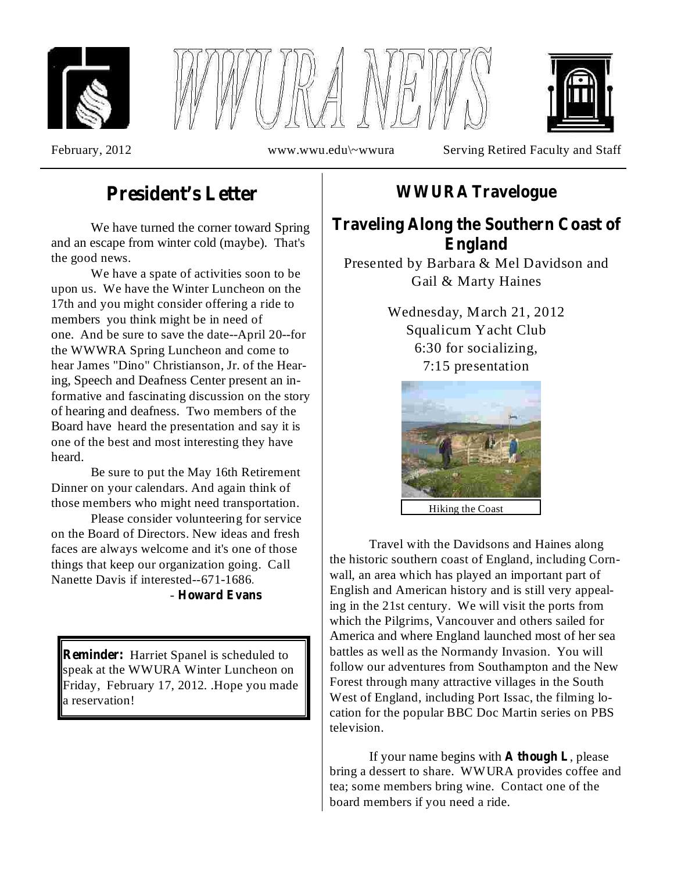





February, 2012 www.wwu.edu\~wwura Serving Retired Faculty and Staff

# **President's Letter**

We have turned the corner toward Spring and an escape from winter cold (maybe). That's the good news.

We have a spate of activities soon to be upon us. We have the Winter Luncheon on the 17th and you might consider offering a ride to members you think might be in need of one. And be sure to save the date--April 20--for the WWWRA Spring Luncheon and come to hear James "Dino" Christianson, Jr. of the Hearing, Speech and Deafness Center present an informative and fascinating discussion on the story of hearing and deafness. Two members of the Board have heard the presentation and say it is one of the best and most interesting they have heard.

Be sure to put the May 16th Retirement Dinner on your calendars. And again think of those members who might need transportation.

Please consider volunteering for service on the Board of Directors. New ideas and fresh faces are always welcome and it's one of those things that keep our organization going. Call Nanette Davis if interested--671-1686 .

**Howard Evans** -

**Reminder:** Harriet Spanel is scheduled to speak at the WWURA Winter Luncheon on Friday, February 17, 2012. .Hope you made a reservation!

## **WWURA Travelogue**

## **Traveling Along the Southern Coast of England**

Presented by Barbara & Mel Davidson and Gail & Marty Haines

> Wednesday, March 21, 2012 Squalicum Yacht Club 6:30 for socializing, 7:15 presentation



Travel with the Davidsons and Haines along the historic southern coast of England, including Cornwall, an area which has played an important part of English and American history and is still very appealing in the 21st century. We will visit the ports from which the Pilgrims, Vancouver and others sailed for America and where England launched most of her sea battles as well as the Normandy Invasion. You will follow our adventures from Southampton and the New Forest through many attractive villages in the South West of England, including Port Issac, the filming location for the popular BBC Doc Martin series on PBS television.

If your name begins with **A** though **L**, please bring a dessert to share. WWURA provides coffee and tea; some members bring wine. Contact one of the board members if you need a ride.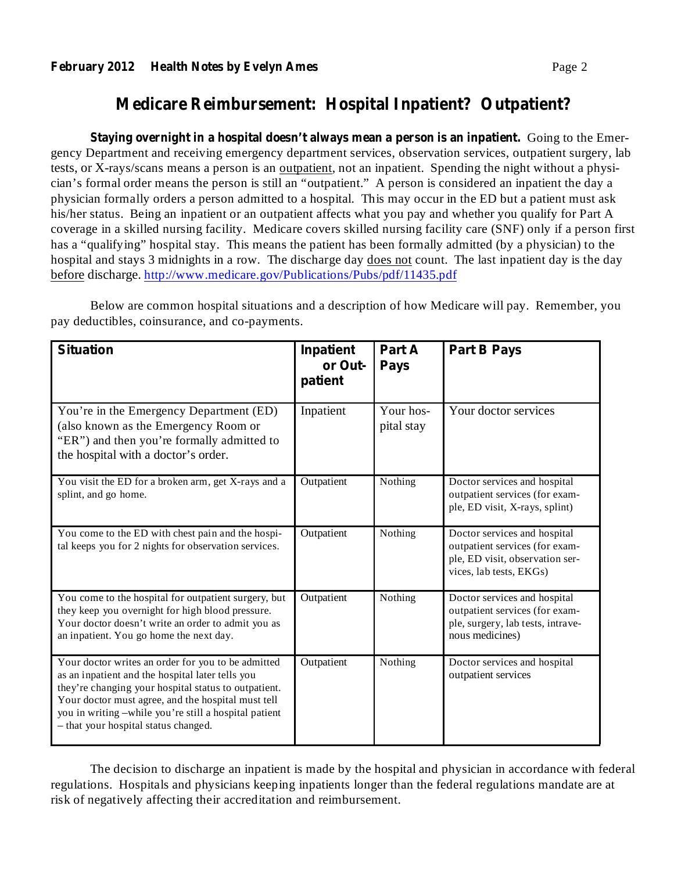### **Medicare Reimbursement: Hospital Inpatient? Outpatient?**

**Staying overnight in a hospital doesn't always mean a person is an inpatient.** Going to the Emergency Department and receiving emergency department services, observation services, outpatient surgery, lab tests, or X-rays/scans means a person is an outpatient, not an inpatient. Spending the night without a physician's formal order means the person is still an "outpatient." A person is considered an inpatient the day a physician formally orders a person admitted to a hospital. This may occur in the ED but a patient must ask his/her status. Being an inpatient or an outpatient affects what you pay and whether you qualify for Part A coverage in a skilled nursing facility. Medicare covers skilled nursing facility care (SNF) only if a person first has a "qualifying" hospital stay. This means the patient has been formally admitted (by a physician) to the hospital and stays 3 midnights in a row. The discharge day does not count. The last inpatient day is the day before discharge. http://www.medicare.gov/Publications/Pubs/pdf/11435.pdf

Below are common hospital situations and a description of how Medicare will pay. Remember, you pay deductibles, coinsurance, and co-payments.

| <b>Situation</b>                                                                                                                                                                                                                                                                                                      | <b>Inpatient</b><br>or Out-<br>patient | Part A<br><b>Pays</b>   | <b>Part B Pays</b>                                                                                                           |
|-----------------------------------------------------------------------------------------------------------------------------------------------------------------------------------------------------------------------------------------------------------------------------------------------------------------------|----------------------------------------|-------------------------|------------------------------------------------------------------------------------------------------------------------------|
| You're in the Emergency Department (ED)<br>(also known as the Emergency Room or<br>"ER") and then you're formally admitted to<br>the hospital with a doctor's order.                                                                                                                                                  | Inpatient                              | Your hos-<br>pital stay | Your doctor services                                                                                                         |
| You visit the ED for a broken arm, get X-rays and a<br>splint, and go home.                                                                                                                                                                                                                                           | Outpatient                             | Nothing                 | Doctor services and hospital<br>outpatient services (for exam-<br>ple, ED visit, X-rays, splint)                             |
| You come to the ED with chest pain and the hospi-<br>tal keeps you for 2 nights for observation services.                                                                                                                                                                                                             | Outpatient                             | Nothing                 | Doctor services and hospital<br>outpatient services (for exam-<br>ple, ED visit, observation ser-<br>vices, lab tests, EKGs) |
| You come to the hospital for outpatient surgery, but<br>they keep you overnight for high blood pressure.<br>Your doctor doesn't write an order to admit you as<br>an inpatient. You go home the next day.                                                                                                             | Outpatient                             | Nothing                 | Doctor services and hospital<br>outpatient services (for exam-<br>ple, surgery, lab tests, intrave-<br>nous medicines)       |
| Your doctor writes an order for you to be admitted<br>as an inpatient and the hospital later tells you<br>they're changing your hospital status to outpatient.<br>Your doctor must agree, and the hospital must tell<br>you in writing -while you're still a hospital patient<br>- that your hospital status changed. | Outpatient                             | Nothing                 | Doctor services and hospital<br>outpatient services                                                                          |

The decision to discharge an inpatient is made by the hospital and physician in accordance with federal regulations. Hospitals and physicians keeping inpatients longer than the federal regulations mandate are at risk of negatively affecting their accreditation and reimbursement.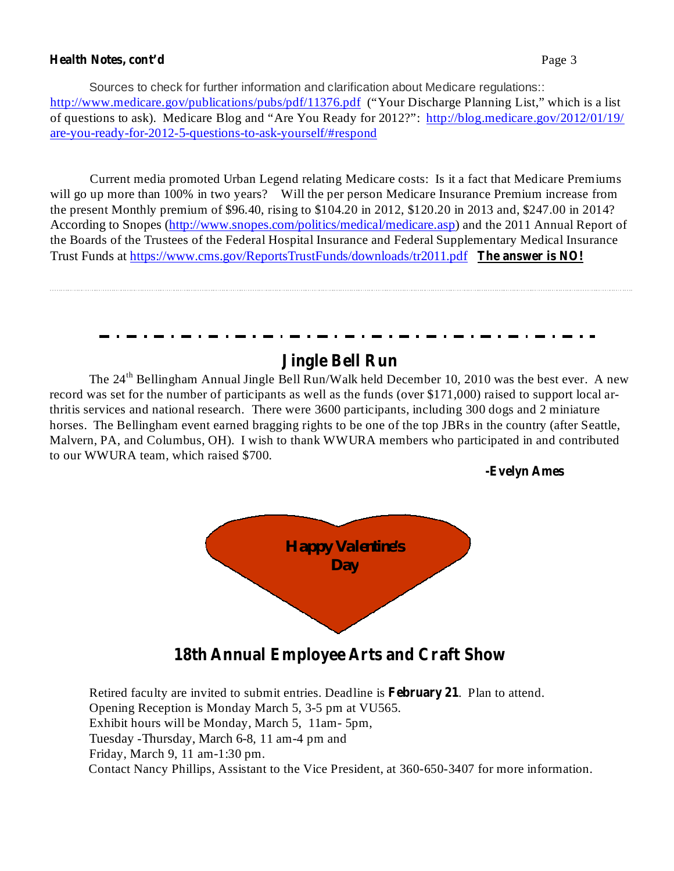#### **Health Notes, cont'd**

http://www.medicare.gov/publications/pubs/pdf/11376.pdf ("Your Discharge Planning List," which is a list of questions to ask). Medicare Blog and "Are You Ready for 2012?": http://blog.medicare.gov/2012/01/19/ are-you-ready-for-2012-5-questions-to-ask-yourself/#respond Sources to check for further information and clarification about Medicare regulations::

**The answer is NO!** Trust Funds at https://www.cms.gov/ReportsTrustFunds/downloads/tr2011.pdf Current media promoted Urban Legend relating Medicare costs: Is it a fact that Medicare Premiums will go up more than 100% in two years? Will the per person Medicare Insurance Premium increase from the present Monthly premium of \$96.40, rising to \$104.20 in 2012, \$120.20 in 2013 and, \$247.00 in 2014? According to Snopes (http://www.snopes.com/politics/medical/medicare.asp) and the 2011 Annual Report of the Boards of the Trustees of the Federal Hospital Insurance and Federal Supplementary Medical Insurance

## **Jingle Bell Run**

The 24<sup>th</sup> Bellingham Annual Jingle Bell Run/Walk held December 10, 2010 was the best ever. A new record was set for the number of participants as well as the funds (over \$171,000) raised to support local arthritis services and national research. There were 3600 participants, including 300 dogs and 2 miniature horses. The Bellingham event earned bragging rights to be one of the top JBRs in the country (after Seattle, Malvern, PA, and Columbus, OH). I wish to thank WWURA members who participated in and contributed to our WWURA team, which raised \$700.

### **-Evelyn Ames**



## **18th Annual Employee Arts and Craft Show**

Retired faculty are invited to submit entries. Deadline is February 21. Plan to attend. Opening Reception is Monday March 5, 3-5 pm at VU565. Exhibit hours will be Monday, March 5, 11am- 5pm, Tuesday -Thursday, March 6-8, 11 am-4 pm and Friday, March 9, 11 am-1:30 pm. Contact Nancy Phillips, Assistant to the Vice President, at 360-650-3407 for more information.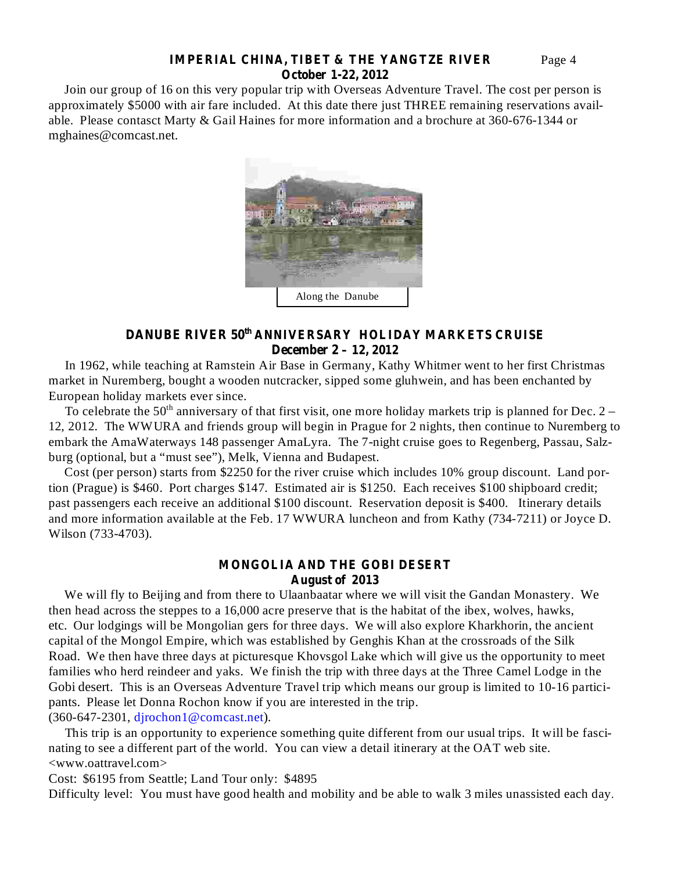### **IMPERIAL CHINA, TIBET & THE YANGTZE RIVER October 1-22, 2012**

Join our group of 16 on this very popular trip with Overseas Adventure Travel. The cost per person is approximately \$5000 with air fare included. At this date there just THREE remaining reservations available. Please contasct Marty & Gail Haines for more information and a brochure at 360-676-1344 or mghaines@comcast.net.



### **DANUBE RIVER 50 th ANNIVERSARY HOLIDAY MARKETS CRUISE December 2 – 12, 2012**

In 1962, while teaching at Ramstein Air Base in Germany, Kathy Whitmer went to her first Christmas market in Nuremberg, bought a wooden nutcracker, sipped some gluhwein, and has been enchanted by European holiday markets ever since.

To celebrate the 50<sup>th</sup> anniversary of that first visit, one more holiday markets trip is planned for Dec. 2 – 12, 2012. The WWURA and friends group will begin in Prague for 2 nights, then continue to Nuremberg to embark the AmaWaterways 148 passenger AmaLyra. The 7-night cruise goes to Regenberg, Passau, Salzburg (optional, but a "must see"), Melk, Vienna and Budapest.

Cost (per person) starts from \$2250 for the river cruise which includes 10% group discount. Land portion (Prague) is \$460. Port charges \$147. Estimated air is \$1250. Each receives \$100 shipboard credit; past passengers each receive an additional \$100 discount. Reservation deposit is \$400. Itinerary details and more information available at the Feb. 17 WWURA luncheon and from Kathy (734-7211) or Joyce D. Wilson (733-4703).

#### **MONGOLIA AND THE GOBI DESERT August of 2013**

We will fly to Beijing and from there to Ulaanbaatar where we will visit the Gandan Monastery. We then head across the steppes to a 16,000 acre preserve that is the habitat of the ibex, wolves, hawks, etc. Our lodgings will be Mongolian gers for three days. We will also explore Kharkhorin, the ancient capital of the Mongol Empire, which was established by Genghis Khan at the crossroads of the Silk Road. We then have three days at picturesque Khovsgol Lake which will give us the opportunity to meet families who herd reindeer and yaks. We finish the trip with three days at the Three Camel Lodge in the Gobi desert. This is an Overseas Adventure Travel trip which means our group is limited to 10-16 participants. Please let Donna Rochon know if you are interested in the trip. (360-647-2301, djrochon1@comcast.net).

This trip is an opportunity to experience something quite different from our usual trips. It will be fascinating to see a different part of the world. You can view a detail itinerary at the OAT web site. <www.oattravel.com>

Cost: \$6195 from Seattle; Land Tour only: \$4895

Difficulty level: You must have good health and mobility and be able to walk 3 miles unassisted each day.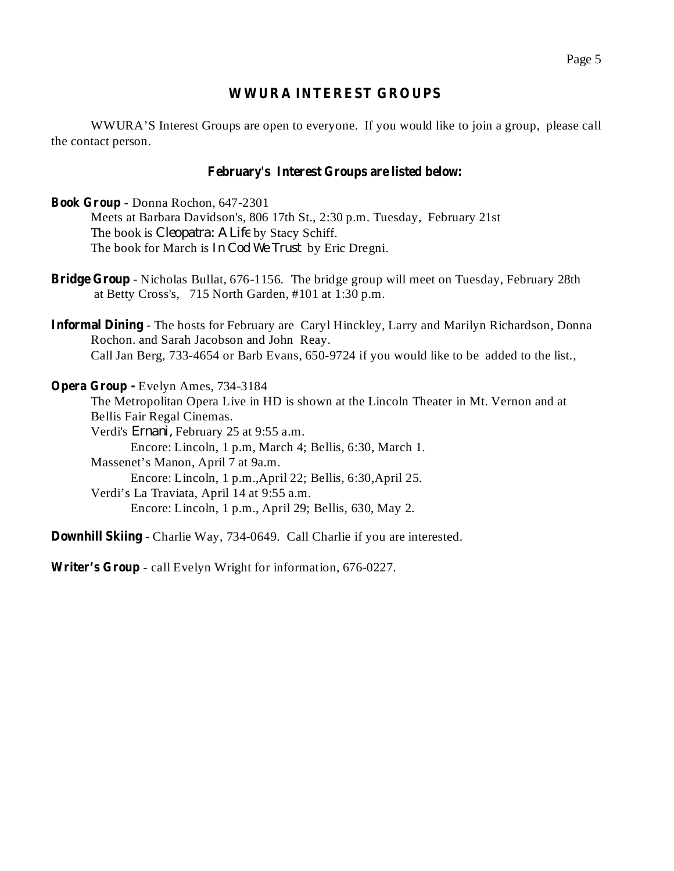### **WWURA INTEREST GROUPS**

WWURA'S Interest Groups are open to everyone. If you would like to join a group, please call the contact person.

### **February's Interest Groups are listed below:**

- Donna Rochon, 647-2301 **Book Group** Meets at Barbara Davidson's, 806 17th St., 2:30 p.m. Tuesday, February 21st The book is *Cleopatra: A Life* by Stacy Schiff. The book for March is *In Cod We Trust* by Eric Dregni.

**Bridge Group** - Nicholas Bullat, 676-1156. The bridge group will meet on Tuesday, February 28th at Betty Cross's, 715 North Garden, #101 at 1:30 p.m.

Informal Dining - The hosts for February are Caryl Hinckley, Larry and Marilyn Richardson, Donna Rochon. and Sarah Jacobson and John Reay. Call Jan Berg, 733-4654 or Barb Evans, 650-9724 if you would like to be added to the list.,

Evelyn Ames, 734-3184 **Opera Group -** The Metropolitan Opera Live in HD is shown at the Lincoln Theater in Mt. Vernon and at Bellis Fair Regal Cinemas. Verdi's *Ernani*, February 25 at 9:55 a.m. Encore: Lincoln, 1 p.m, March 4; Bellis, 6:30, March 1. Massenet's Manon, April 7 at 9a.m. Encore: Lincoln, 1 p.m.,April 22; Bellis, 6:30,April 25. Verdi's La Traviata, April 14 at 9:55 a.m. Encore: Lincoln, 1 p.m., April 29; Bellis, 630, May 2.

**Downhill Skiing** - Charlie Way, 734-0649. Call Charlie if you are interested.

Writer's Group - call Evelyn Wright for information, 676-0227.